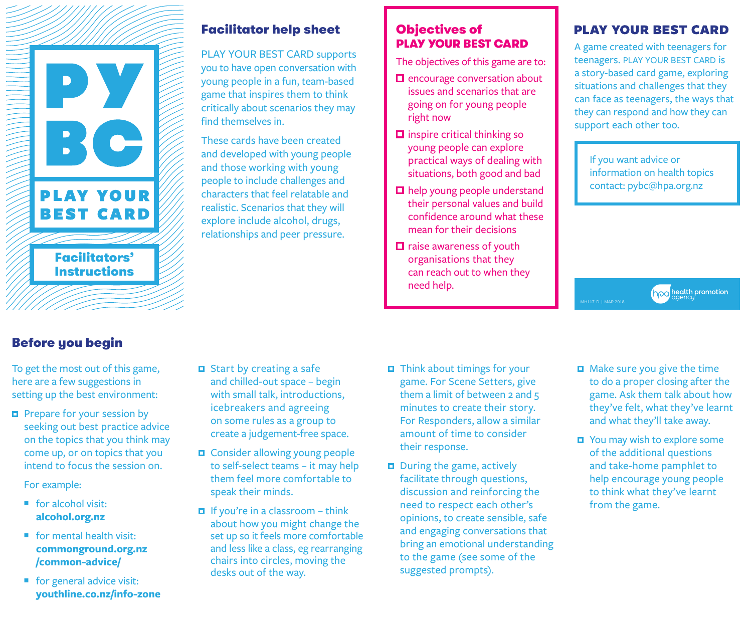

# Facilitator help sheet **Objectives of**

PLAY YOUR BEST CARD supports you to have open conversation with young people in a fun, team-based game that inspires them to think critically about scenarios they may find themselves in.

These cards have been created and developed with young people and those working with young people to include challenges and characters that feel relatable and realistic. Scenarios that they will explore include alcohol, drugs, relationships and peer pressure.

# PLAY YOUR BEST CARD

The objectives of this game are to:

- $\Box$  encourage conversation about issues and scenarios that are going on for young people right now
- $\square$  inspire critical thinking so young people can explore practical ways of dealing with situations, both good and bad
- $\square$  help young people understand their personal values and build confidence around what these mean for their decisions
- $\Box$  raise awareness of youth organisations that they can reach out to when they need help.

# **PLAY YOUR BEST CARD**

A game created with teenagers for teenagers. PLAY YOUR BEST CARD is a story-based card game, exploring situations and challenges that they can face as teenagers, the ways that they can respond and how they can support each other too.

If you want advice or information on health topics contact: pybc@hpa.org.nz

# Before you begin

To get the most out of this game, here are a few suggestions in setting up the best environment:

 $\Box$  Prepare for your session by seeking out best practice advice on the topics that you think may come up, or on topics that you intend to focus the session on.

For example:

- $\blacksquare$  for alcohol visit: **alcohol.org.nz**
- $\blacksquare$  for mental health visit: **commonground.org.nz /common-advice/**
- $\blacksquare$  for general advice visit: **youthline.co.nz/info-zone**
- $\Box$  Start by creating a safe and chilled-out space – begin with small talk, introductions, icebreakers and agreeing on some rules as a group to create a judgement-free space.
- $\Box$  Consider allowing young people to self-select teams – it may help them feel more comfortable to speak their minds.
- $\blacksquare$  If you're in a classroom think about how you might change the set up so it feels more comfortable and less like a class, eg rearranging chairs into circles, moving the desks out of the way.
- $\Box$  Think about timings for your game. For Scene Setters, give them a limit of between 2 and 5 minutes to create their story. For Responders, allow a similar amount of time to consider their response.
- $\Box$  During the game, actively facilitate through questions, discussion and reinforcing the need to respect each other's opinions, to create sensible, safe and engaging conversations that bring an emotional understanding to the game (see some of the suggested prompts).
- Make sure you give the time to do a proper closing after the game. Ask them talk about how they've felt, what they've learnt and what they'll take away.

health promotion

You may wish to explore some of the additional questions and take-home pamphlet to help encourage young people to think what they've learnt from the game.